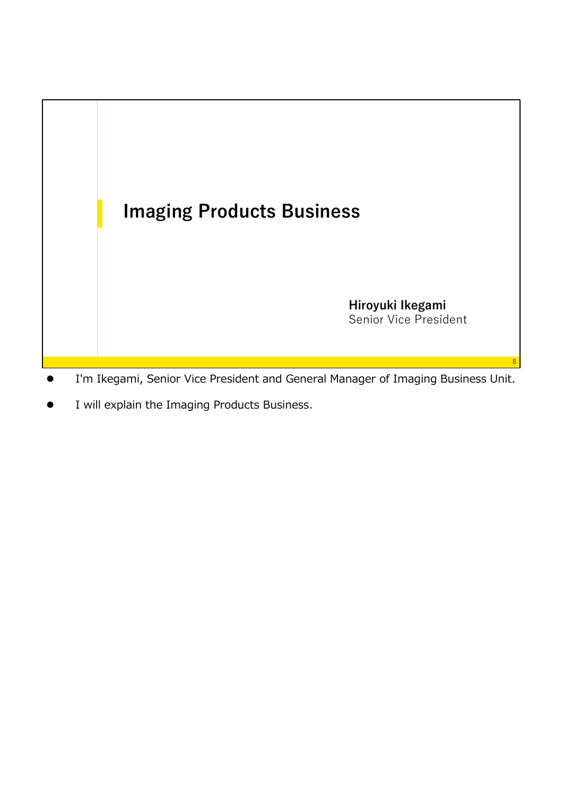

- I'm Ikegami, Senior Vice President and General Manager of Imaging Business Unit.
- I will explain the Imaging Products Business.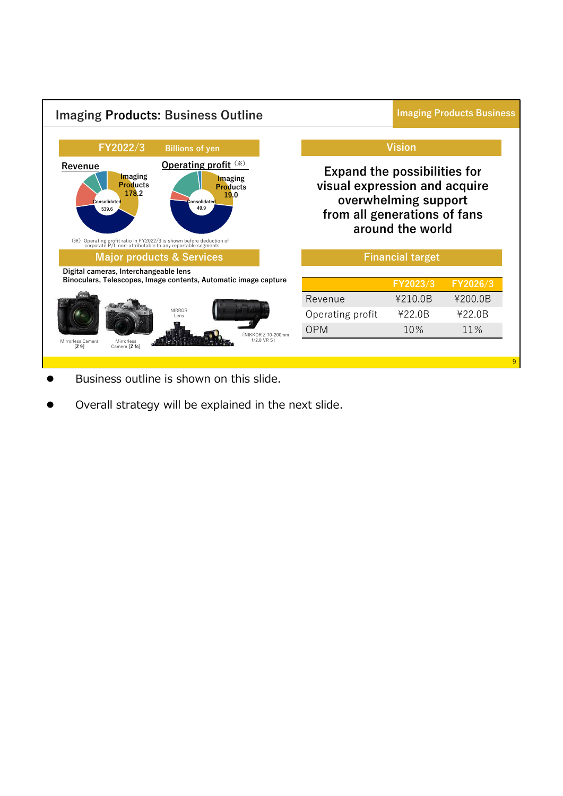

- Business outline is shown on this slide.
- Overall strategy will be explained in the next slide.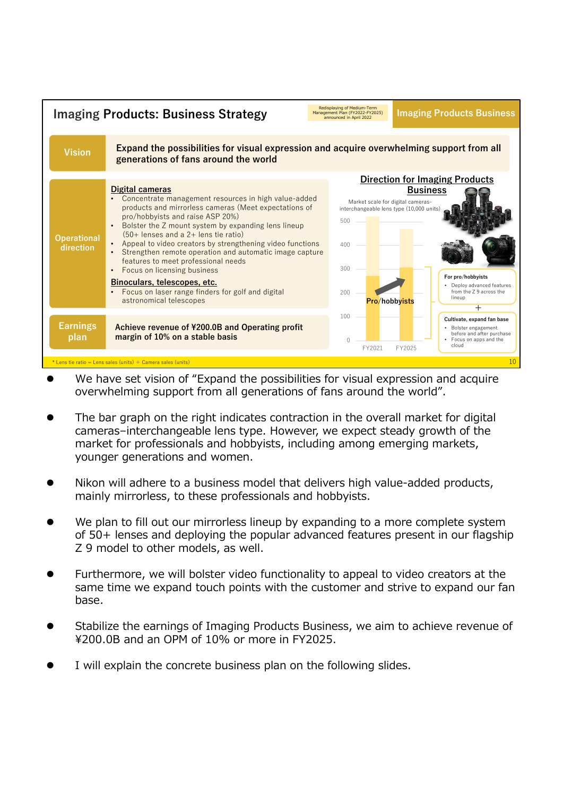

- We have set vision of "Expand the possibilities for visual expression and acquire overwhelming support from all generations of fans around the world".
- The bar graph on the right indicates contraction in the overall market for digital cameras–interchangeable lens type. However, we expect steady growth of the market for professionals and hobbyists, including among emerging markets, younger generations and women.
- Nikon will adhere to a business model that delivers high value-added products, mainly mirrorless, to these professionals and hobbyists.
- We plan to fill out our mirrorless lineup by expanding to a more complete system of 50+ lenses and deploying the popular advanced features present in our flagship Z 9 model to other models, as well.
- Furthermore, we will bolster video functionality to appeal to video creators at the same time we expand touch points with the customer and strive to expand our fan base.
- Stabilize the earnings of Imaging Products Business, we aim to achieve revenue of ¥200.0B and an OPM of 10% or more in FY2025.
- I will explain the concrete business plan on the following slides.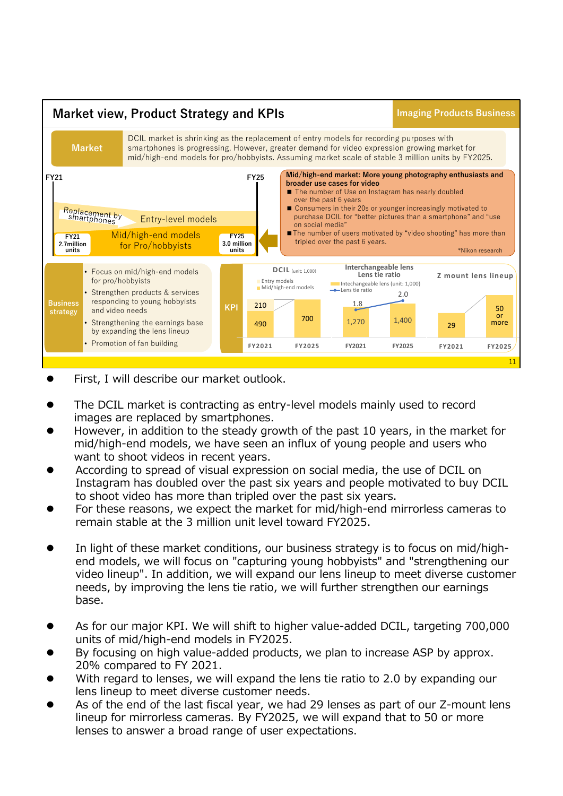

- First, I will describe our market outlook.
- The DCIL market is contracting as entry-level models mainly used to record images are replaced by smartphones.
- However, in addition to the steady growth of the past 10 years, in the market for mid/high-end models, we have seen an influx of young people and users who want to shoot videos in recent years.
- According to spread of visual expression on social media, the use of DCIL on Instagram has doubled over the past six years and people motivated to buy DCIL to shoot video has more than tripled over the past six years.
- For these reasons, we expect the market for mid/high-end mirrorless cameras to remain stable at the 3 million unit level toward FY2025.
- In light of these market conditions, our business strategy is to focus on mid/highend models, we will focus on "capturing young hobbyists" and "strengthening our video lineup". In addition, we will expand our lens lineup to meet diverse customer needs, by improving the lens tie ratio, we will further strengthen our earnings base.
- As for our major KPI. We will shift to higher value-added DCIL, targeting 700,000 units of mid/high-end models in FY2025.
- By focusing on high value-added products, we plan to increase ASP by approx. 20% compared to FY 2021.
- With regard to lenses, we will expand the lens tie ratio to 2.0 by expanding our lens lineup to meet diverse customer needs.
- As of the end of the last fiscal year, we had 29 lenses as part of our Z-mount lens lineup for mirrorless cameras. By FY2025, we will expand that to 50 or more lenses to answer a broad range of user expectations.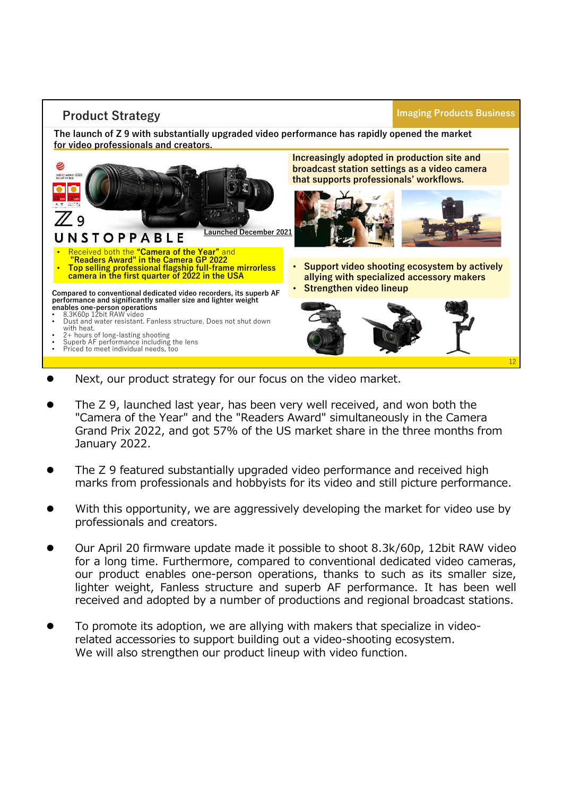## **Product Strategy**

### **Imaging Products Business**

**The launch of Z 9 with substantially upgraded video performance has rapidly opened the market for video professionals and creators.**



- Next, our product strategy for our focus on the video market.
- The Z 9, launched last year, has been very well received, and won both the "Camera of the Year" and the "Readers Award" simultaneously in the Camera Grand Prix 2022, and got 57% of the US market share in the three months from January 2022.
- The Z 9 featured substantially upgraded video performance and received high marks from professionals and hobbyists for its video and still picture performance.
- With this opportunity, we are aggressively developing the market for video use by professionals and creators.
- Our April 20 firmware update made it possible to shoot 8.3k/60p, 12bit RAW video for a long time. Furthermore, compared to conventional dedicated video cameras, our product enables one-person operations, thanks to such as its smaller size, lighter weight, Fanless structure and superb AF performance. It has been well received and adopted by a number of productions and regional broadcast stations.
- To promote its adoption, we are allying with makers that specialize in videorelated accessories to support building out a video-shooting ecosystem. We will also strengthen our product lineup with video function.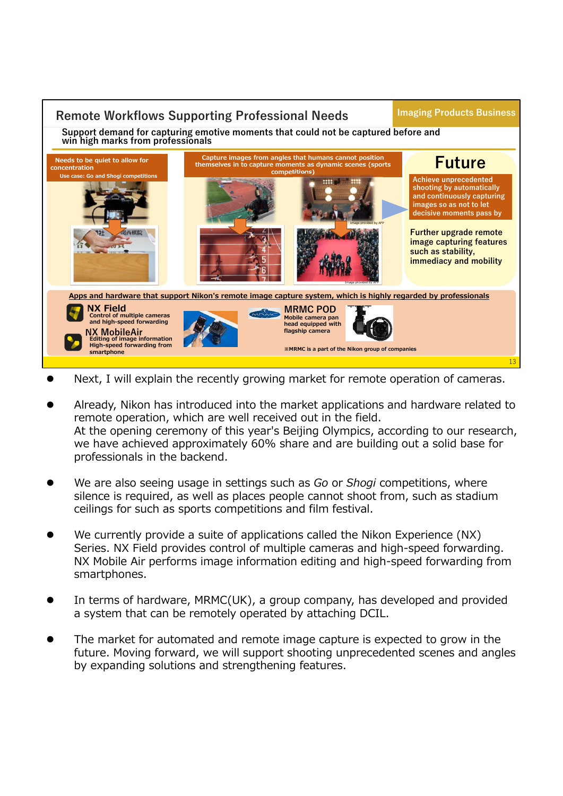# **Remote Workflows Supporting Professional Needs**

**Imaging Products Business**

**Support demand for capturing emotive moments that could not be captured before and win high marks from professionals**



- Next, I will explain the recently growing market for remote operation of cameras.
- Already, Nikon has introduced into the market applications and hardware related to remote operation, which are well received out in the field. At the opening ceremony of this year's Beijing Olympics, according to our research, we have achieved approximately 60% share and are building out a solid base for professionals in the backend.
- We are also seeing usage in settings such as *Go* or *Shogi* competitions, where silence is required, as well as places people cannot shoot from, such as stadium ceilings for such as sports competitions and film festival.
- We currently provide a suite of applications called the Nikon Experience (NX) Series. NX Field provides control of multiple cameras and high-speed forwarding. NX Mobile Air performs image information editing and high-speed forwarding from smartphones.
- In terms of hardware, MRMC(UK), a group company, has developed and provided a system that can be remotely operated by attaching DCIL.
- The market for automated and remote image capture is expected to grow in the future. Moving forward, we will support shooting unprecedented scenes and angles by expanding solutions and strengthening features.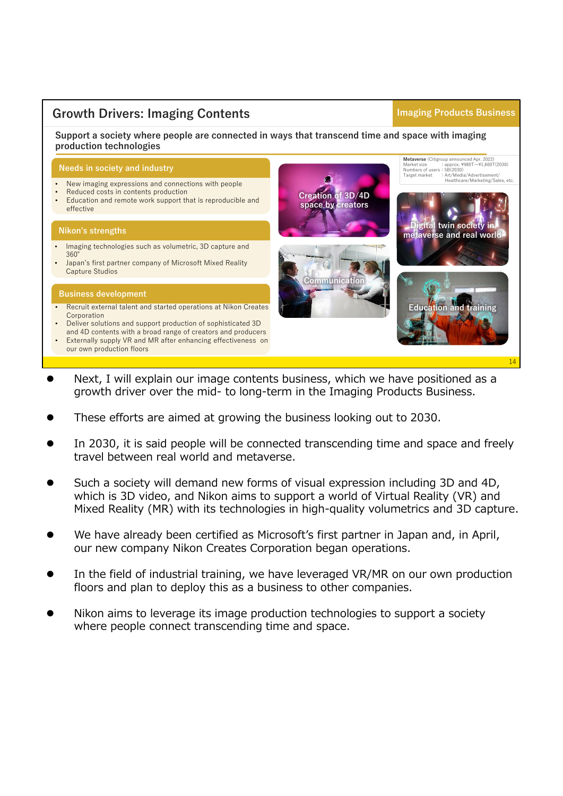# **Growth Drivers: Imaging Contents**

### **Imaging Products Business**

**Support a society where people are connected in ways that transcend time and space with imaging production technologies**

### **Needs in society and industry**

- New imaging expressions and connections with people
- Reduced costs in contents production • Education and remote work support that is reproducible and effective

### **Nikon's strengths**

- Imaging technologies such as volumetric, 3D capture and 360°
- Japan's first partner company of Microsoft Mixed Reality Capture Studios

#### **Business development**

- Recruit external talent and started operations at Nikon Creates Corporation
- Deliver solutions and support production of sophisticated 3D
- and 4D contents with a broad range of creators and producers • Externally supply VR and MR after enhancing effectiveness on our own production floors



- Next, I will explain our image contents business, which we have positioned as a growth driver over the mid- to long-term in the Imaging Products Business.
- These efforts are aimed at growing the business looking out to 2030.
- In 2030, it is said people will be connected transcending time and space and freely travel between real world and metaverse.
- Such a society will demand new forms of visual expression including 3D and 4D, which is 3D video, and Nikon aims to support a world of Virtual Reality (VR) and Mixed Reality (MR) with its technologies in high-quality volumetrics and 3D capture.
- We have already been certified as Microsoft's first partner in Japan and, in April, our new company Nikon Creates Corporation began operations.
- In the field of industrial training, we have leveraged VR/MR on our own production floors and plan to deploy this as a business to other companies.
- Nikon aims to leverage its image production technologies to support a society where people connect transcending time and space.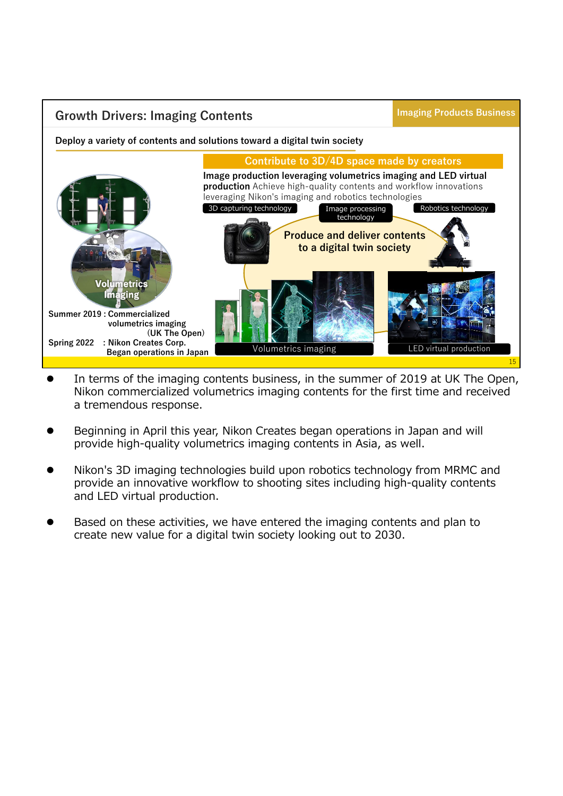

- In terms of the imaging contents business, in the summer of 2019 at UK The Open, Nikon commercialized volumetrics imaging contents for the first time and received a tremendous response.
- Beginning in April this year, Nikon Creates began operations in Japan and will provide high-quality volumetrics imaging contents in Asia, as well.
- Nikon's 3D imaging technologies build upon robotics technology from MRMC and provide an innovative workflow to shooting sites including high-quality contents and LED virtual production.
- Based on these activities, we have entered the imaging contents and plan to create new value for a digital twin society looking out to 2030.